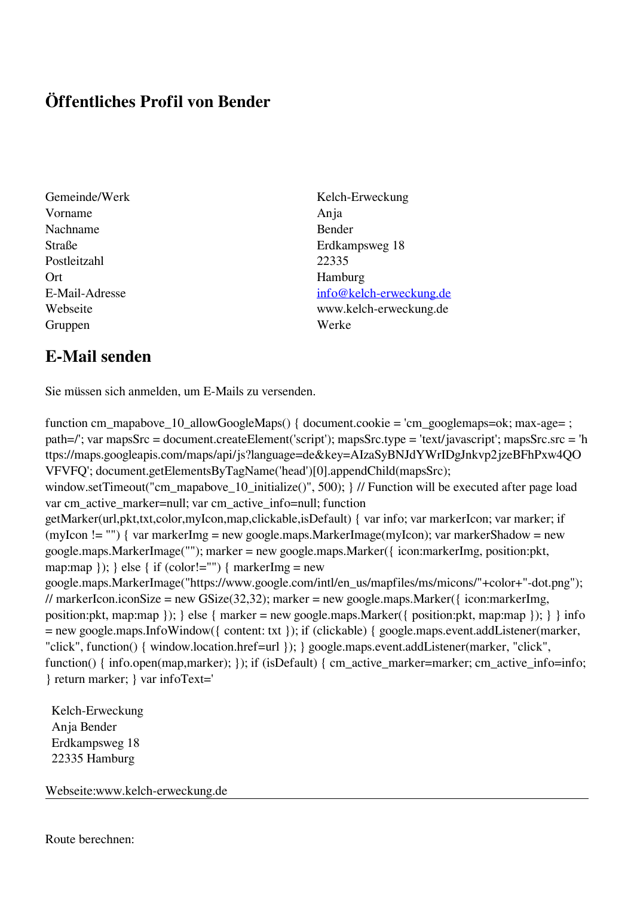## **Öffentliches Profil von Bender**

- Vorname Anja Nachname Bender Postleitzahl 22335 Ort Hamburg Gruppen Werke
- Gemeinde/Werk Kelch-Erweckung Straße Erdkampsweg 18 E-Mail-Adresse [info@kelch-erweckung.de](mailto:info@kelch-erweckung.de) Webseite www.kelch-erweckung.de

## **E-Mail senden**

Sie müssen sich anmelden, um E-Mails zu versenden.

function cm\_mapabove\_10\_allowGoogleMaps() { document.cookie = 'cm\_googlemaps=ok; max-age= ; path=/'; var mapsSrc = document.createElement('script'); mapsSrc.type = 'text/javascript'; mapsSrc.src = 'h ttps://maps.googleapis.com/maps/api/js?language=de&key=AIzaSyBNJdYWrIDgJnkvp2jzeBFhPxw4QO VFVFQ'; document.getElementsByTagName('head')[0].appendChild(mapsSrc); window.setTimeout("cm\_mapabove\_10\_initialize()", 500); } // Function will be executed after page load var cm\_active\_marker=null; var cm\_active\_info=null; function getMarker(url,pkt,txt,color,myIcon,map,clickable,isDefault) { var info; var markerIcon; var marker; if (myIcon != "") { var markerImg = new google.maps.MarkerImage(myIcon); var markerShadow = new google.maps.MarkerImage(""); marker = new google.maps.Marker({ icon:markerImg, position:pkt, map:map  $\}$ ;  $\}$  else  $\{$  if (color!="")  $\{$  markerImg = new google.maps.MarkerImage("https://www.google.com/intl/en\_us/mapfiles/ms/micons/"+color+"-dot.png"); // markerIcon.iconSize = new GSize(32,32); marker = new google.maps.Marker({ $\epsilon$  icon:markerImg, position:pkt, map:map  $\}$ ;  $\}$  else  $\{$  marker = new google.maps.Marker $(\{$  position:pkt, map:map  $\})$ ;  $\}$  info = new google.maps.InfoWindow({ content: txt }); if (clickable) { google.maps.event.addListener(marker, "click", function() { window.location.href=url }); } google.maps.event.addListener(marker, "click", function() { info.open(map,marker); }); if (isDefault) { cm\_active\_marker=marker; cm\_active\_info=info; } return marker; } var infoText='

 Kelch-Erweckung Anja Bender Erdkampsweg 18 22335 Hamburg

Webseite:www.kelch-erweckung.de

Route berechnen: